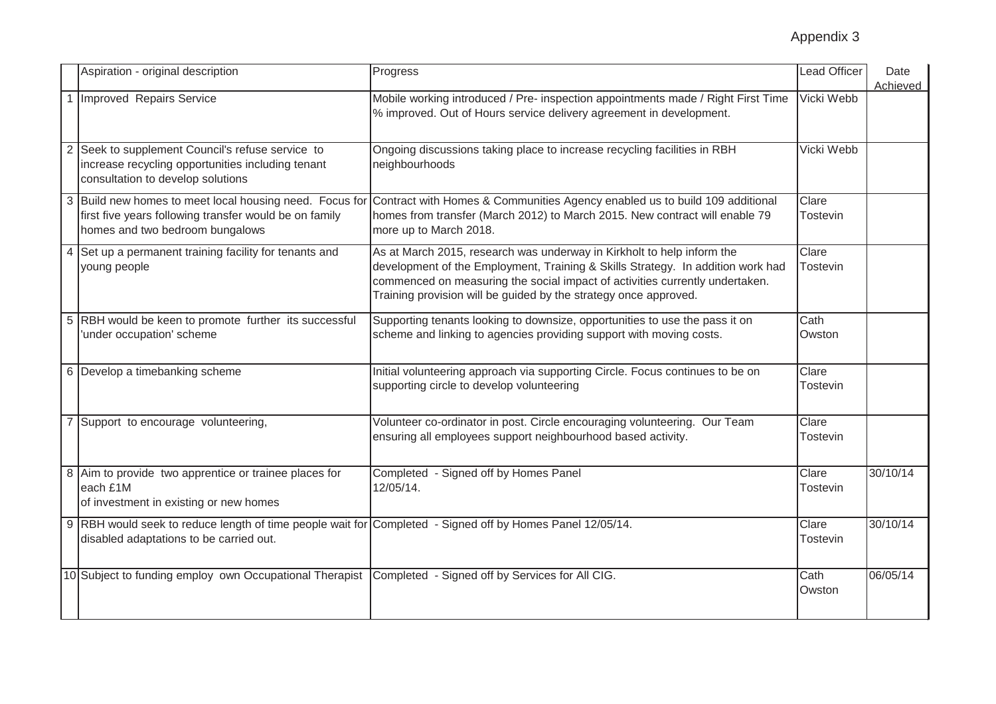|                | Aspiration - original description                                                                                                                    | Progress                                                                                                                                                                                                                                                                                                      | <b>Lead Officer</b>      | Date<br>Achieved |
|----------------|------------------------------------------------------------------------------------------------------------------------------------------------------|---------------------------------------------------------------------------------------------------------------------------------------------------------------------------------------------------------------------------------------------------------------------------------------------------------------|--------------------------|------------------|
|                | Improved Repairs Service                                                                                                                             | Mobile working introduced / Pre- inspection appointments made / Right First Time<br>% improved. Out of Hours service delivery agreement in development.                                                                                                                                                       | Vicki Webb               |                  |
| $\overline{2}$ | Seek to supplement Council's refuse service to<br>increase recycling opportunities including tenant<br>consultation to develop solutions             | Ongoing discussions taking place to increase recycling facilities in RBH<br>neighbourhoods                                                                                                                                                                                                                    | Vicki Webb               |                  |
|                | first five years following transfer would be on family<br>homes and two bedroom bungalows                                                            | Build new homes to meet local housing need. Focus for Contract with Homes & Communities Agency enabled us to build 109 additional<br>homes from transfer (March 2012) to March 2015. New contract will enable 79<br>more up to March 2018.                                                                    | Clare<br>Tostevin        |                  |
| $\overline{4}$ | Set up a permanent training facility for tenants and<br>young people                                                                                 | As at March 2015, research was underway in Kirkholt to help inform the<br>development of the Employment, Training & Skills Strategy. In addition work had<br>commenced on measuring the social impact of activities currently undertaken.<br>Training provision will be guided by the strategy once approved. | Clare<br><b>Tostevin</b> |                  |
|                | RBH would be keen to promote further its successful<br>'under occupation' scheme                                                                     | Supporting tenants looking to downsize, opportunities to use the pass it on<br>scheme and linking to agencies providing support with moving costs.                                                                                                                                                            | Cath<br>Owston           |                  |
| 6              | Develop a timebanking scheme                                                                                                                         | Initial volunteering approach via supporting Circle. Focus continues to be on<br>supporting circle to develop volunteering                                                                                                                                                                                    | Clare<br>Tostevin        |                  |
|                | Support to encourage volunteering,                                                                                                                   | Volunteer co-ordinator in post. Circle encouraging volunteering. Our Team<br>ensuring all employees support neighbourhood based activity.                                                                                                                                                                     | Clare<br><b>Tostevin</b> |                  |
| 8              | Aim to provide two apprentice or trainee places for<br>each £1M<br>of investment in existing or new homes                                            | Completed - Signed off by Homes Panel<br>12/05/14.                                                                                                                                                                                                                                                            | Clare<br>Tostevin        | 30/10/14         |
|                | 9 RBH would seek to reduce length of time people wait for Completed - Signed off by Homes Panel 12/05/14.<br>disabled adaptations to be carried out. |                                                                                                                                                                                                                                                                                                               | Clare<br><b>Tostevin</b> | 30/10/14         |
|                | 10 Subject to funding employ own Occupational Therapist                                                                                              | Completed - Signed off by Services for All CIG.                                                                                                                                                                                                                                                               | Cath<br>Owston           | 06/05/14         |